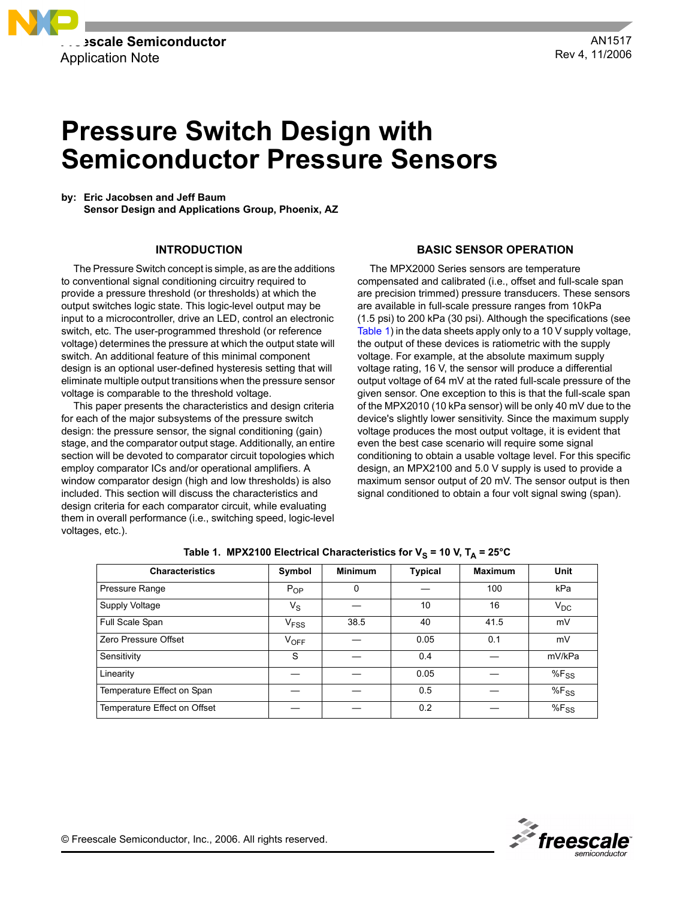

# **Pressure Switch Design with Semiconductor Pressure Sensors**

**by: Eric Jacobsen and Jeff Baum Sensor Design and Applications Group, Phoenix, AZ**

## **INTRODUCTION**

The Pressure Switch concept is simple, as are the additions to conventional signal conditioning circuitry required to provide a pressure threshold (or thresholds) at which the output switches logic state. This logic-level output may be input to a microcontroller, drive an LED, control an electronic switch, etc. The user-programmed threshold (or reference voltage) determines the pressure at which the output state will switch. An additional feature of this minimal component design is an optional user-defined hysteresis setting that will eliminate multiple output transitions when the pressure sensor voltage is comparable to the threshold voltage.

This paper presents the characteristics and design criteria for each of the major subsystems of the pressure switch design: the pressure sensor, the signal conditioning (gain) stage, and the comparator output stage. Additionally, an entire section will be devoted to comparator circuit topologies which employ comparator ICs and/or operational amplifiers. A window comparator design (high and low thresholds) is also included. This section will discuss the characteristics and design criteria for each comparator circuit, while evaluating them in overall performance (i.e., switching speed, logic-level voltages, etc.).

### **BASIC SENSOR OPERATION**

The MPX2000 Series sensors are temperature compensated and calibrated (i.e., offset and full-scale span are precision trimmed) pressure transducers. These sensors are available in full-scale pressure ranges from 10kPa (1.5 psi) to 200 kPa (30 psi). Although the specifications (see [Table 1\)](#page-0-0) in the data sheets apply only to a 10 V supply voltage, the output of these devices is ratiometric with the supply voltage. For example, at the absolute maximum supply voltage rating, 16 V, the sensor will produce a differential output voltage of 64 mV at the rated full-scale pressure of the given sensor. One exception to this is that the full-scale span of the MPX2010 (10 kPa sensor) will be only 40 mV due to the device's slightly lower sensitivity. Since the maximum supply voltage produces the most output voltage, it is evident that even the best case scenario will require some signal conditioning to obtain a usable voltage level. For this specific design, an MPX2100 and 5.0 V supply is used to provide a maximum sensor output of 20 mV. The sensor output is then signal conditioned to obtain a four volt signal swing (span).

<span id="page-0-0"></span>

| <b>Characteristics</b>       | Symbol                 | <b>Minimum</b> | <b>Typical</b> | <b>Maximum</b> | <b>Unit</b> |
|------------------------------|------------------------|----------------|----------------|----------------|-------------|
| Pressure Range               | $P_{OP}$               | 0              |                | 100            | kPa         |
| Supply Voltage               | $V_{\rm S}$            |                | 10             | 16             | $V_{DC}$    |
| Full Scale Span              | <b>V<sub>FSS</sub></b> | 38.5           | 40             | 41.5           | mV          |
| Zero Pressure Offset         | $V_{OFF}$              |                | 0.05           | 0.1            | mV          |
| Sensitivity                  | S                      |                | 0.4            |                | mV/kPa      |
| Linearity                    |                        |                | 0.05           |                | $%F_{SS}$   |
| Temperature Effect on Span   |                        |                | 0.5            |                | $%F_{SS}$   |
| Temperature Effect on Offset |                        |                | 0.2            |                | $%F_{SS}$   |

| Table 1. MPX2100 Electrical Characteristics for V <sub>S</sub> = 10 V, T <sub>A</sub> = 25°C |  |  |  |  |
|----------------------------------------------------------------------------------------------|--|--|--|--|
|----------------------------------------------------------------------------------------------|--|--|--|--|

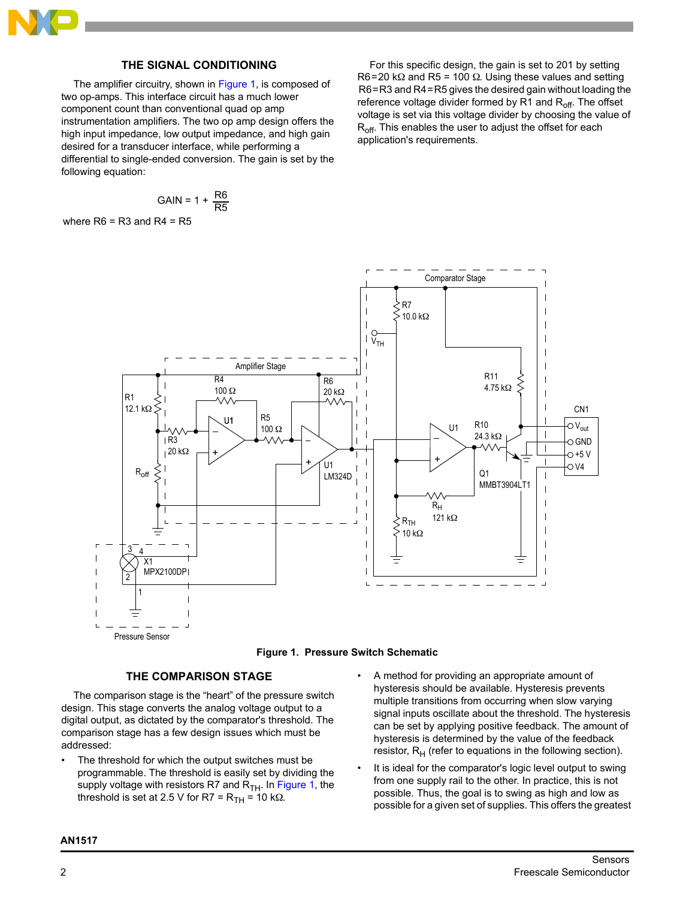

# **THE SIGNAL CONDITIONING**

The amplifier circuitry, shown in [Figure 1](#page-1-0), is composed of two op-amps. This interface circuit has a much lower component count than conventional quad op amp instrumentation amplifiers. The two op amp design offers the high input impedance, low output impedance, and high gain desired for a transducer interface, while performing a differential to single-ended conversion. The gain is set by the following equation:

$$
GAIN = 1 + \frac{R6}{R5}
$$

where  $R6 = R3$  and  $R4 = R5$ 

For this specific design, the gain is set to 201 by setting R6=20 kΩ and R5 = 100  $\Omega$ . Using these values and setting R6=R3 and R4=R5 gives the desired gain without loading the reference voltage divider formed by R1 and  $R_{off}$ . The offset voltage is set via this voltage divider by choosing the value of R<sub>off</sub>. This enables the user to adjust the offset for each application's requirements.





#### **THE COMPARISON STAGE**

<span id="page-1-0"></span>The comparison stage is the "heart" of the pressure switch design. This stage converts the analog voltage output to a digital output, as dictated by the comparator's threshold. The comparison stage has a few design issues which must be addressed:

- The threshold for which the output switches must be programmable. The threshold is easily set by dividing the supply voltage with resistors R7 and  $R_{TH}$ . In [Figure 1](#page-1-0), the threshold is set at 2.5 V for R7 =  $R_{TH}$  = 10 kΩ.
- A method for providing an appropriate amount of hysteresis should be available. Hysteresis prevents multiple transitions from occurring when slow varying signal inputs oscillate about the threshold. The hysteresis can be set by applying positive feedback. The amount of hysteresis is determined by the value of the feedback resistor,  $R_H$  (refer to equations in the following section).
- It is ideal for the comparator's logic level output to swing from one supply rail to the other. In practice, this is not possible. Thus, the goal is to swing as high and low as possible for a given set of supplies. This offers the greatest

## **AN1517**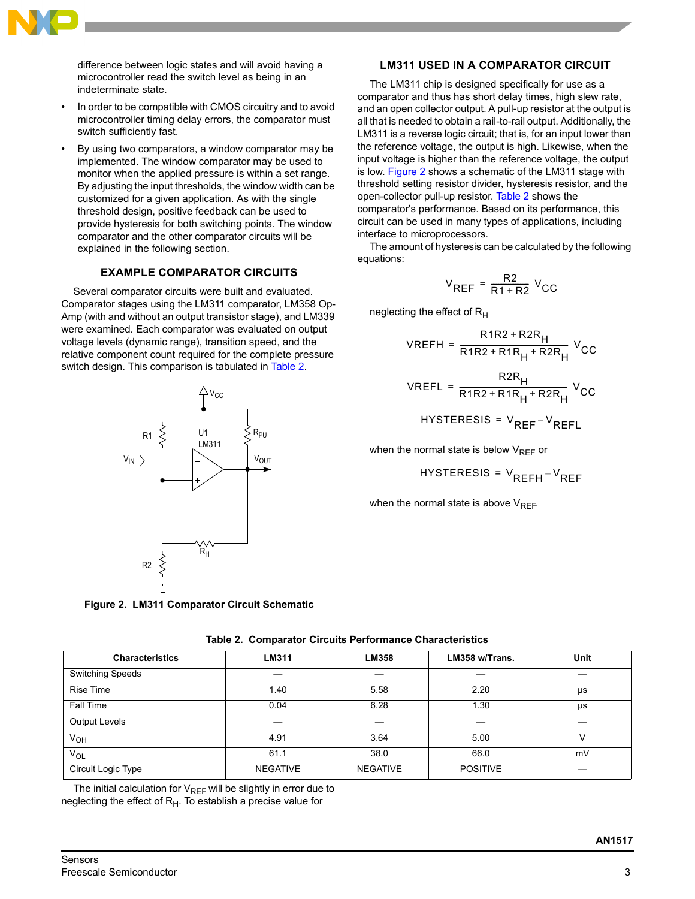

difference between logic states and will avoid having a microcontroller read the switch level as being in an indeterminate state.

- In order to be compatible with CMOS circuitry and to avoid microcontroller timing delay errors, the comparator must switch sufficiently fast.
- By using two comparators, a window comparator may be implemented. The window comparator may be used to monitor when the applied pressure is within a set range. By adjusting the input thresholds, the window width can be customized for a given application. As with the single threshold design, positive feedback can be used to provide hysteresis for both switching points. The window comparator and the other comparator circuits will be explained in the following section.

## **EXAMPLE COMPARATOR CIRCUITS**

Several comparator circuits were built and evaluated. Comparator stages using the LM311 comparator, LM358 Op-Amp (with and without an output transistor stage), and LM339 were examined. Each comparator was evaluated on output voltage levels (dynamic range), transition speed, and the relative component count required for the complete pressure switch design. This comparison is tabulated in [Table 2](#page-2-0).



<span id="page-2-1"></span>**Figure 2. LM311 Comparator Circuit Schematic**

# **LM311 USED IN A COMPARATOR CIRCUIT**

The LM311 chip is designed specifically for use as a comparator and thus has short delay times, high slew rate, and an open collector output. A pull-up resistor at the output is all that is needed to obtain a rail-to-rail output. Additionally, the LM311 is a reverse logic circuit; that is, for an input lower than the reference voltage, the output is high. Likewise, when the input voltage is higher than the reference voltage, the output is low. [Figure 2](#page-2-1) shows a schematic of the LM311 stage with threshold setting resistor divider, hysteresis resistor, and the open-collector pull-up resistor. [Table 2](#page-2-0) shows the comparator's performance. Based on its performance, this circuit can be used in many types of applications, including interface to microprocessors.

The amount of hysteresis can be calculated by the following equations:

$$
V_{REF} = \frac{R2}{R1 + R2} V_{CC}
$$

neglecting the effect of  $R_H$ 

VREFH = 
$$
\frac{R1R2 + R2R_{H}}{R1R2 + R1R_{H} + R2R_{H}} V_{CC}
$$
  
VREFL = 
$$
\frac{R2R_{H}}{R1R2 + R1R_{H} + R2R_{H}} V_{CC}
$$

$$
HYSTERESIS = V_{REF} - V_{REFL}
$$

when the normal state is below  $V_{RFF}$  or

$$
HYSTERESIS = V_{REFH} - V_{REF}
$$

when the normal state is above  $V_{RFF}$ .

<span id="page-2-0"></span>**Characteristics LM311 LM358 LM358 w/Trans. Unit** Switching Speeds Rise Time 1.40 5.58 2.20 µs Fall Time | 0.04 | 6.28 | 1.30 | µs Output Levels | — | — | — | —  $N_{\text{OH}}$  (  $N_{\text{OH}}$  ) (  $4.91$  ) (  $3.64$  ) (  $5.00$  ) (  $N$  $N_\mathsf{OL}$  61.1 | 38.0 | 66.0 | mV Circuit Logic Type **NEGATIVE NEGATIVE NEGATIVE** NEGATIVE

**Table 2. Comparator Circuits Performance Characteristics**

The initial calculation for  $V_{REF}$  will be slightly in error due to neglecting the effect of  $R<sub>H</sub>$ . To establish a precise value for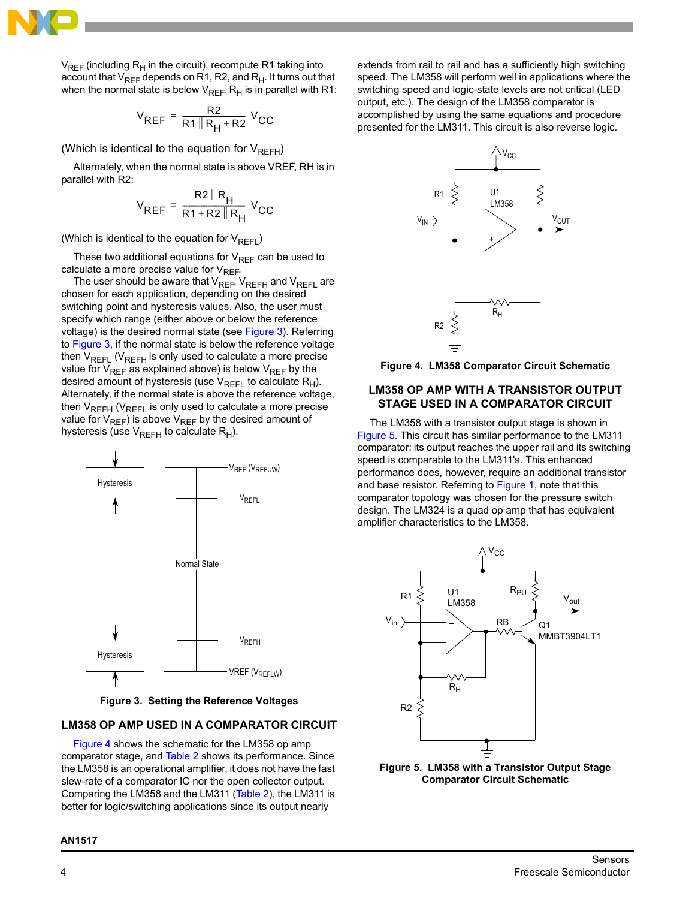

 $V_{REF}$  (including R<sub>H</sub> in the circuit), recompute R1 taking into account that  $V_{REF}$  depends on R1, R2, and  $R_{H}$ . It turns out that when the normal state is below  $V_{REF}$ , R<sub>H</sub> is in parallel with R1:

$$
V_{REF} = \frac{R2}{R1 \| R_H + R2} V_{CC}
$$

(Which is identical to the equation for  $V_{RFFH}$ )

Alternately, when the normal state is above VREF, RH is in parallel with R2:

$$
V_{REF} = \frac{R2 \parallel R_{H}}{R1 + R2 \parallel R_{H}} V_{CC}
$$

(Which is identical to the equation for  $V_{RFFI}$ )

These two additional equations for  $V_{REF}$  can be used to calculate a more precise value for  $V_{REF}$ .

The user should be aware that  $V_{REF}$ ,  $V_{REF}$  and  $V_{REF}$  are chosen for each application, depending on the desired switching point and hysteresis values. Also, the user must specify which range (either above or below the reference voltage) is the desired normal state (see [Figure 3](#page-3-0)). Referring to [Figure 3,](#page-3-0) if the normal state is below the reference voltage then  $V_{REFL}$  ( $V_{REFH}$  is only used to calculate a more precise value for  $V_{REF}$  as explained above) is below  $V_{REF}$  by the desired amount of hysteresis (use  $V_{REFL}$  to calculate  $R_H$ ). Alternately, if the normal state is above the reference voltage, then  $V_{REFH}$  ( $V_{REFL}$  is only used to calculate a more precise value for  $V_{REF}$ ) is above  $V_{REF}$  by the desired amount of hysteresis (use  $V_{RFFH}$  to calculate  $R_H$ ).



**Figure 3. Setting the Reference Voltages**

## <span id="page-3-0"></span>**LM358 OP AMP USED IN A COMPARATOR CIRCUIT**

[Figure 4](#page-3-1) shows the schematic for the LM358 op amp comparator stage, and [Table 2](#page-2-0) shows its performance. Since the LM358 is an operational amplifier, it does not have the fast slew-rate of a comparator IC nor the open collector output. Comparing the LM358 and the LM311 [\(Table 2](#page-2-0)), the LM311 is better for logic/switching applications since its output nearly

**AN1517**

extends from rail to rail and has a sufficiently high switching speed. The LM358 will perform well in applications where the switching speed and logic-state levels are not critical (LED output, etc.). The design of the LM358 comparator is accomplished by using the same equations and procedure presented for the LM311. This circuit is also reverse logic.



<span id="page-3-1"></span>**Figure 4. LM358 Comparator Circuit Schematic**

## **LM358 OP AMP WITH A TRANSISTOR OUTPUT STAGE USED IN A COMPARATOR CIRCUIT**

The LM358 with a transistor output stage is shown in Figure 5. This circuit has similar performance to the LM311 comparator: its output reaches the upper rail and its switching speed is comparable to the LM311's. This enhanced performance does, however, require an additional transistor and base resistor. Referring to [Figure 1,](#page-1-0) note that this comparator topology was chosen for the pressure switch design. The LM324 is a quad op amp that has equivalent amplifier characteristics to the LM358.



**Figure 5. LM358 with a Transistor Output Stage Comparator Circuit Schematic**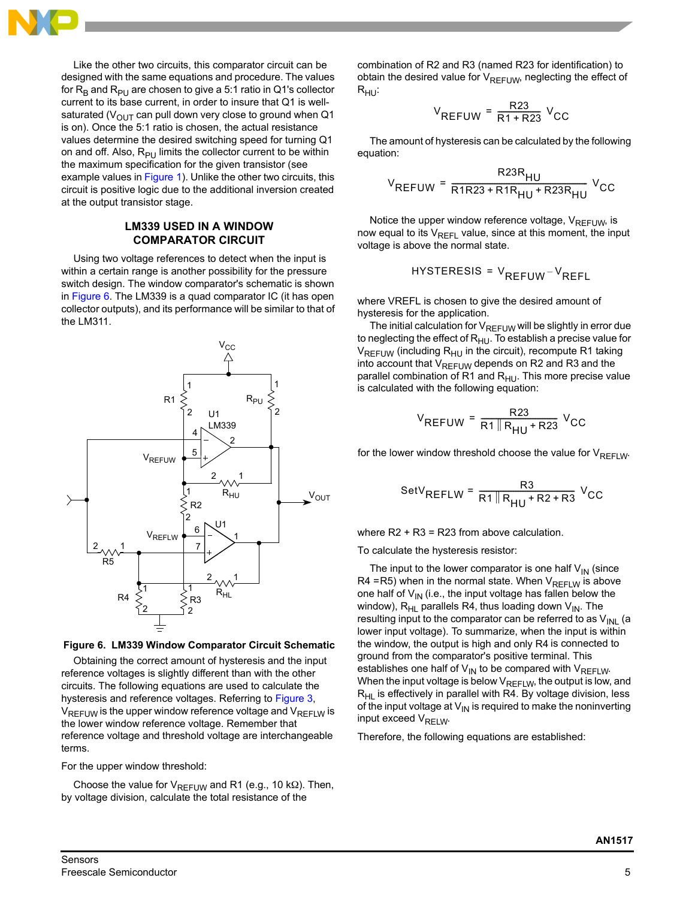

Like the other two circuits, this comparator circuit can be designed with the same equations and procedure. The values for  $R_B$  and  $R_{PU}$  are chosen to give a 5:1 ratio in Q1's collector current to its base current, in order to insure that Q1 is wellsaturated ( $V_{\text{OUT}}$  can pull down very close to ground when Q1 is on). Once the 5:1 ratio is chosen, the actual resistance values determine the desired switching speed for turning Q1 on and off. Also,  $R_{PI}$  limits the collector current to be within the maximum specification for the given transistor (see example values in [Figure 1](#page-1-0)). Unlike the other two circuits, this circuit is positive logic due to the additional inversion created at the output transistor stage.

# **LM339 USED IN A WINDOW COMPARATOR CIRCUIT**

Using two voltage references to detect when the input is within a certain range is another possibility for the pressure switch design. The window comparator's schematic is shown in [Figure 6](#page-4-0). The LM339 is a quad comparator IC (it has open collector outputs), and its performance will be similar to that of the LM311.



<span id="page-4-0"></span>

Obtaining the correct amount of hysteresis and the input reference voltages is slightly different than with the other circuits. The following equations are used to calculate the hysteresis and reference voltages. Referring to [Figure 3,](#page-3-0)  $V_{REFUW}$  is the upper window reference voltage and  $V_{REFUW}$  is the lower window reference voltage. Remember that reference voltage and threshold voltage are interchangeable terms.

For the upper window threshold:

Choose the value for  $V_{REFUW}$  and R1 (e.g., 10 kΩ). Then, by voltage division, calculate the total resistance of the

combination of R2 and R3 (named R23 for identification) to obtain the desired value for  $V_{RFFLJW}$ , neglecting the effect of  $R_{HU}$ :

$$
V_{REFUW} = \frac{R23}{R1 + R23} V_{CC}
$$

The amount of hysteresis can be calculated by the following equation:

$$
V_{REFUW} = \frac{R23R_{HU}}{R1R23 + R1R_{HU} + R23R_{HU}} V_{CC}
$$

Notice the upper window reference voltage,  $V_{REFUW}$ , is now equal to its  $V_{REFL}$  value, since at this moment, the input voltage is above the normal state.

$$
HYSTERESIS = V_{REFUW} - V_{REFL}
$$

where VREFL is chosen to give the desired amount of hysteresis for the application.

The initial calculation for  $V_{REFUW}$  will be slightly in error due to neglecting the effect of  $R_{HU}$ . To establish a precise value for  $V_{REFUW}$  (including  $R_{HU}$  in the circuit), recompute R1 taking into account that  $V_{REFUW}$  depends on R2 and R3 and the parallel combination of R1 and  $R_{HU}$ . This more precise value is calculated with the following equation:

$$
V_{REFUW} = \frac{R23}{R1 \| R_{HU} + R23} V_{CC}
$$

for the lower window threshold choose the value for  $V_{RFFIW}$ .

$$
SetV_{REFLW} = \frac{R3}{R1|R_{HU} + R2 + R3} V_{CC}
$$

where R2 + R3 = R23 from above calculation.

To calculate the hysteresis resistor:

The input to the lower comparator is one half  $V_{IN}$  (since R4 = R5) when in the normal state. When  $V_{REFLW}$  is above one half of  $V_{IN}$  (i.e., the input voltage has fallen below the window),  $R_{HL}$  parallels R4, thus loading down  $V_{IN}$ . The resulting input to the comparator can be referred to as  $V_{\text{INI}}$  (a lower input voltage). To summarize, when the input is within the window, the output is high and only R4 is connected to ground from the comparator's positive terminal. This establishes one half of  $V_{IN}$  to be compared with  $V_{REFLW}$ . When the input voltage is below  $V_{REFLW}$ , the output is low, and  $R_{HI}$  is effectively in parallel with R4. By voltage division, less of the input voltage at  $V_{IN}$  is required to make the noninverting input exceed  $V_{\text{RFI W}}$ .

Therefore, the following equations are established: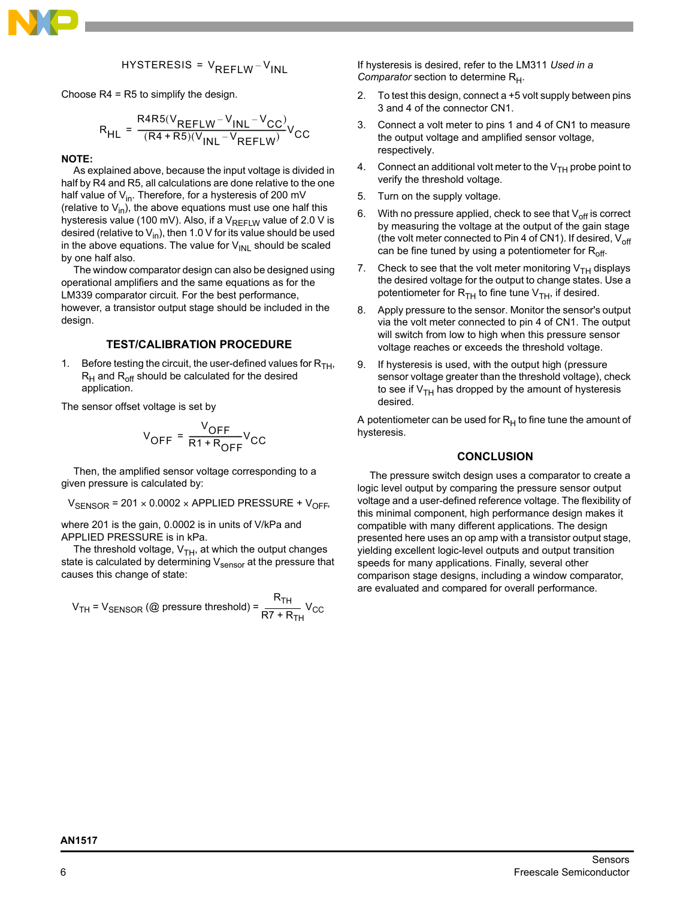

$$
HYSTERESIS = V_{REFLW} - V_{INL}
$$

Choose R4 = R5 to simplify the design.

$$
R_{HL} = \frac{R4R5(V_{REFLW} - V_{INL} - V_{CC})}{(R4 + R5)(V_{INL} - V_{REFLW})}V_{CC}
$$

#### **NOTE:**

As explained above, because the input voltage is divided in half by R4 and R5, all calculations are done relative to the one half value of  $V_{in}$ . Therefore, for a hysteresis of 200 mV (relative to  $V_{in}$ ), the above equations must use one half this hysteresis value (100 mV). Also, if a  $V_{RFFIW}$  value of 2.0 V is desired (relative to  $V_{in}$ ), then 1.0 V for its value should be used in the above equations. The value for  $V_{\text{INL}}$  should be scaled by one half also.

The window comparator design can also be designed using operational amplifiers and the same equations as for the LM339 comparator circuit. For the best performance, however, a transistor output stage should be included in the design.

### **TEST/CALIBRATION PROCEDURE**

1. Before testing the circuit, the user-defined values for  $R_{TH}$ ,  $R_H$  and  $R_{off}$  should be calculated for the desired application.

The sensor offset voltage is set by

$$
V_{OFF} = \frac{V_{OFF}}{R1 + R_{OFF}}V_{CC}
$$

Then, the amplified sensor voltage corresponding to a given pressure is calculated by:

 $V_{\text{SENSOR}}$  = 201 × 0.0002 × APPLIED PRESSURE +  $V_{\text{OFF}}$ 

where 201 is the gain, 0.0002 is in units of V/kPa and APPLIED PRESSURE is in kPa.

The threshold voltage,  $V_{TH}$ , at which the output changes state is calculated by determining  $V_{\text{sensor}}$  at the pressure that causes this change of state:

$$
V_{TH} = V_{SENSOR}
$$
 (@ pressure threshold) =  $\frac{R_{TH}}{RT + R_{TH}}V_{CC}$ 

If hysteresis is desired, refer to the LM311 *Used in a Comparator* section to determine R<sub>H</sub>.

- 2. To test this design, connect a +5 volt supply between pins 3 and 4 of the connector CN1.
- 3. Connect a volt meter to pins 1 and 4 of CN1 to measure the output voltage and amplified sensor voltage, respectively.
- 4. Connect an additional volt meter to the  $V_{TH}$  probe point to verify the threshold voltage.
- 5. Turn on the supply voltage.
- 6. With no pressure applied, check to see that  $V_{off}$  is correct by measuring the voltage at the output of the gain stage (the volt meter connected to Pin 4 of CN1). If desired,  $V_{\text{off}}$ can be fine tuned by using a potentiometer for  $R_{off}$ .
- 7. Check to see that the volt meter monitoring  $V_{TH}$  displays the desired voltage for the output to change states. Use a potentiometer for  $R_{TH}$  to fine tune  $V_{TH}$ , if desired.
- 8. Apply pressure to the sensor. Monitor the sensor's output via the volt meter connected to pin 4 of CN1. The output will switch from low to high when this pressure sensor voltage reaches or exceeds the threshold voltage.
- 9. If hysteresis is used, with the output high (pressure sensor voltage greater than the threshold voltage), check to see if  $V<sub>TH</sub>$  has dropped by the amount of hysteresis desired.

A potentiometer can be used for  $R_H$  to fine tune the amount of hysteresis.

## **CONCLUSION**

The pressure switch design uses a comparator to create a logic level output by comparing the pressure sensor output voltage and a user-defined reference voltage. The flexibility of this minimal component, high performance design makes it compatible with many different applications. The design presented here uses an op amp with a transistor output stage, yielding excellent logic-level outputs and output transition speeds for many applications. Finally, several other comparison stage designs, including a window comparator, are evaluated and compared for overall performance.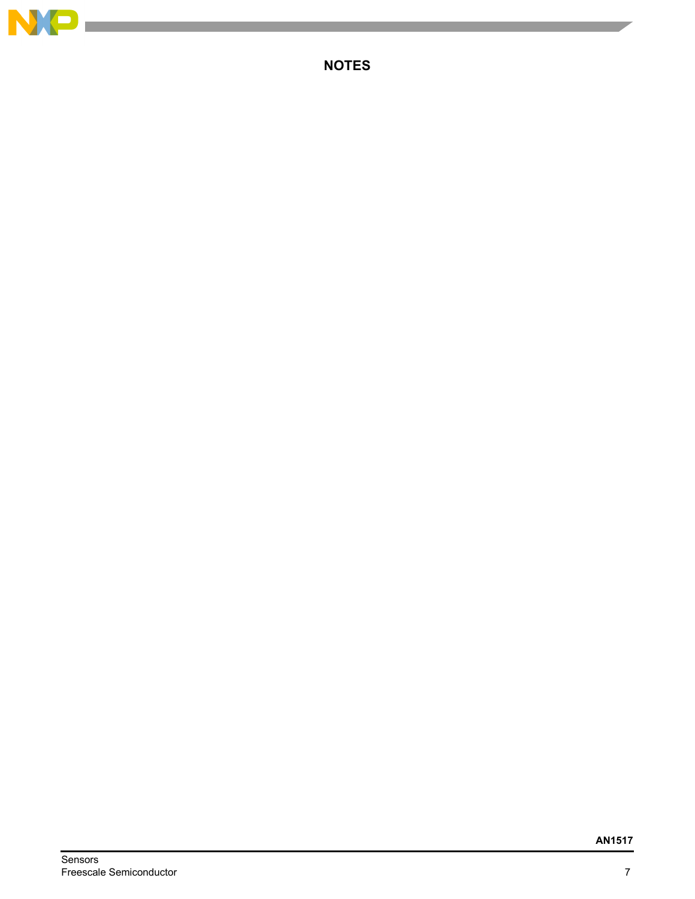

п

**NOTES**